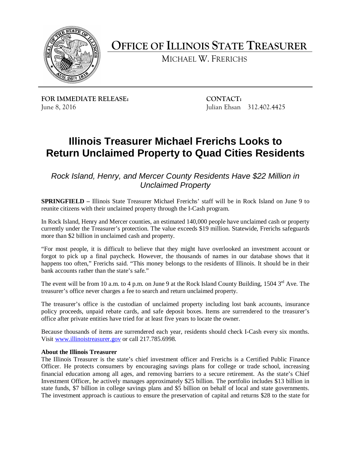

**OFFICE OF ILLINOIS STATE TREASURER**

MICHAEL W. FRERICHS

**FOR IMMEDIATE RELEASE: CONTACT:** June 8, 2016 Julian Ehsan 312.402.4425

## **Illinois Treasurer Michael Frerichs Looks to Return Unclaimed Property to Quad Cities Residents**

*Rock Island, Henry, and Mercer County Residents Have \$22 Million in Unclaimed Property*

**SPRINGFIELD –** Illinois State Treasurer Michael Frerichs' staff will be in Rock Island on June 9 to reunite citizens with their unclaimed property through the I-Cash program.

In Rock Island, Henry and Mercer counties, an estimated 140,000 people have unclaimed cash or property currently under the Treasurer's protection. The value exceeds \$19 million. Statewide, Frerichs safeguards more than \$2 billion in unclaimed cash and property.

"For most people, it is difficult to believe that they might have overlooked an investment account or forgot to pick up a final paycheck. However, the thousands of names in our database shows that it happens too often," Frerichs said. "This money belongs to the residents of Illinois. It should be in their bank accounts rather than the state's safe."

The event will be from 10 a.m. to 4 p.m. on June 9 at the Rock Island County Building, 1504 3<sup>rd</sup> Ave. The treasurer's office never charges a fee to search and return unclaimed property.

The treasurer's office is the custodian of unclaimed property including lost bank accounts, insurance policy proceeds, unpaid rebate cards, and safe deposit boxes. Items are surrendered to the treasurer's office after private entities have tried for at least five years to locate the owner.

Because thousands of items are surrendered each year, residents should check I-Cash every six months. Visit [www.illinoistreasurer.gov](http://www.illinoistreasurer.gov/) or call 217.785.6998.

## **About the Illinois Treasurer**

The Illinois Treasurer is the state's chief investment officer and Frerichs is a Certified Public Finance Officer. He protects consumers by encouraging savings plans for college or trade school, increasing financial education among all ages, and removing barriers to a secure retirement. As the state's Chief Investment Officer, he actively manages approximately \$25 billion. The portfolio includes \$13 billion in state funds, \$7 billion in college savings plans and \$5 billion on behalf of local and state governments. The investment approach is cautious to ensure the preservation of capital and returns \$28 to the state for